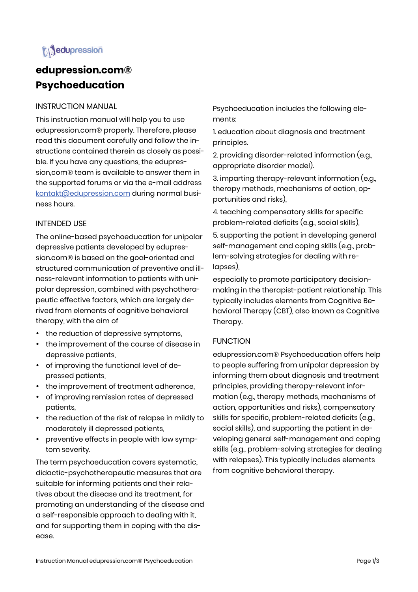# **i** dupression

## **edupression.com® Psychoeducation**

INSTRUCTION MANUAL

This instruction manual will help you to use edupression.com® properly. Therefore, please read this document carefully and follow the instructions contained therein as closely as possible. If you have any questions, the edupression,com® team is available to answer them in the supported forums or via the e-mail address kontakt@edupression.com during normal business hours.

## INTENDED USE

The online-based psychoeducation for unipolar depressive patients developed by edupression.com® is based on the goal-oriented and structured communication of preventive and illness-relevant information to patients with unipolar depression, combined with psychotherapeutic effective factors, which are largely derived from elements of cognitive behavioral therapy, with the aim of

- the reduction of depressive symptoms,
- the improvement of the course of disease in depressive patients,
- of improving the functional level of depressed patients,
- the improvement of treatment adherence,
- of improving remission rates of depressed patients,
- the reduction of the risk of relapse in mildly to moderately ill depressed patients,
- preventive effects in people with low symptom severity.

The term psychoeducation covers systematic, didactic-psychotherapeutic measures that are suitable for informing patients and their relatives about the disease and its treatment, for promoting an understanding of the disease and a self-responsible approach to dealing with it, and for supporting them in coping with the disease.

Psychoeducation includes the following elements:

1. education about diagnosis and treatment principles.

2. providing disorder-related information (e.g., appropriate disorder model).

3. imparting therapy-relevant information (e.g., therapy methods, mechanisms of action, opportunities and risks),

4. teaching compensatory skills for specific problem-related deficits (e.g., social skills),

5. supporting the patient in developing general self-management and coping skills (e.g., problem-solving strategies for dealing with relapses),

especially to promote participatory decisionmaking in the therapist-patient relationship. This typically includes elements from Cognitive Behavioral Therapy (CBT), also known as Cognitive Therapy.

## FUNCTION

edupression.com® Psychoeducation offers help to people suffering from unipolar depression by informing them about diagnosis and treatment principles, providing therapy-relevant information (e.g., therapy methods, mechanisms of action, opportunities and risks), compensatory skills for specific, problem-related deficits (e.g., social skills), and supporting the patient in developing general self-management and coping skills (e.g., problem-solving strategies for dealing with relapses). This typically includes elements from cognitive behavioral therapy.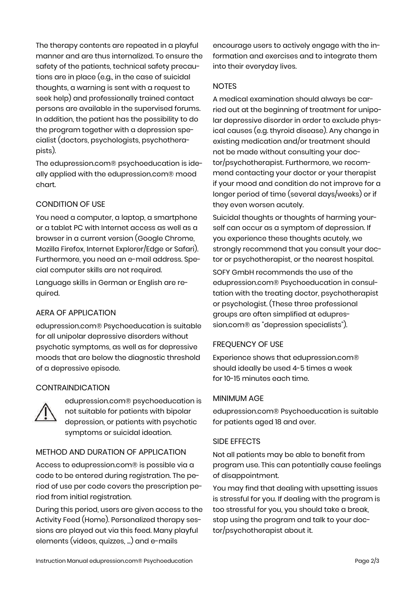The therapy contents are repeated in a playful manner and are thus internalized. To ensure the safety of the patients, technical safety precautions are in place (e.g., in the case of suicidal thoughts, a warning is sent with a request to seek help) and professionally trained contact persons are available in the supervised forums. In addition, the patient has the possibility to do the program together with a depression specialist (doctors, psychologists, psychotherapists).

The edupression.com® psychoeducation is ideally applied with the edupression.com® mood chart.

## CONDITION OF USE

You need a computer, a laptop, a smartphone or a tablet PC with Internet access as well as a browser in a current version (Google Chrome, Mozilla Firefox, Internet Explorer/Edge or Safari). Furthermore, you need an e-mail address. Special computer skills are not required.

Language skills in German or English are required.

## AERA OF APPLICATION

edupression.com® Psychoeducation is suitable for all unipolar depressive disorders without psychotic symptoms, as well as for depressive moods that are below the diagnostic threshold of a depressive episode.

## **CONTRAINDICATION**



edupression.com® psychoeducation is not suitable for patients with bipolar depression, or patients with psychotic symptoms or suicidal ideation.

## METHOD AND DURATION OF APPLICATION

Access to edupression.com® is possible via a code to be entered during registration. The period of use per code covers the prescription period from initial registration.

During this period, users are given access to the Activity Feed (Home). Personalized therapy sessions are played out via this feed. Many playful elements (videos, quizzes, ...) and e-mails

encourage users to actively engage with the information and exercises and to integrate them into their everyday lives.

## **NOTES**

A medical examination should always be carried out at the beginning of treatment for unipolar depressive disorder in order to exclude physical causes (e.g. thyroid disease). Any change in existing medication and/or treatment should not be made without consulting your doctor/psychotherapist. Furthermore, we recommend contacting your doctor or your therapist if your mood and condition do not improve for a longer period of time (several days/weeks) or if they even worsen acutely.

Suicidal thoughts or thoughts of harming yourself can occur as a symptom of depression. If you experience these thoughts acutely, we strongly recommend that you consult your doctor or psychotherapist, or the nearest hospital.

SOFY GmbH recommends the use of the edupression.com® Psychoeducation in consultation with the treating doctor, psychotherapist or psychologist. (These three professional groups are often simplified at edupression.com® as "depression specialists").

## FREQUENCY OF USE

Experience shows that edupression.com® should ideally be used 4-5 times a week for 10-15 minutes each time.

## MINIMUM AGE

edupression.com® Psychoeducation is suitable for patients aged 18 and over.

## SIDE EFFECTS

Not all patients may be able to benefit from program use. This can potentially cause feelings of disappointment.

You may find that dealing with upsetting issues is stressful for you. If dealing with the program is too stressful for you, you should take a break, stop using the program and talk to your doctor/psychotherapist about it.